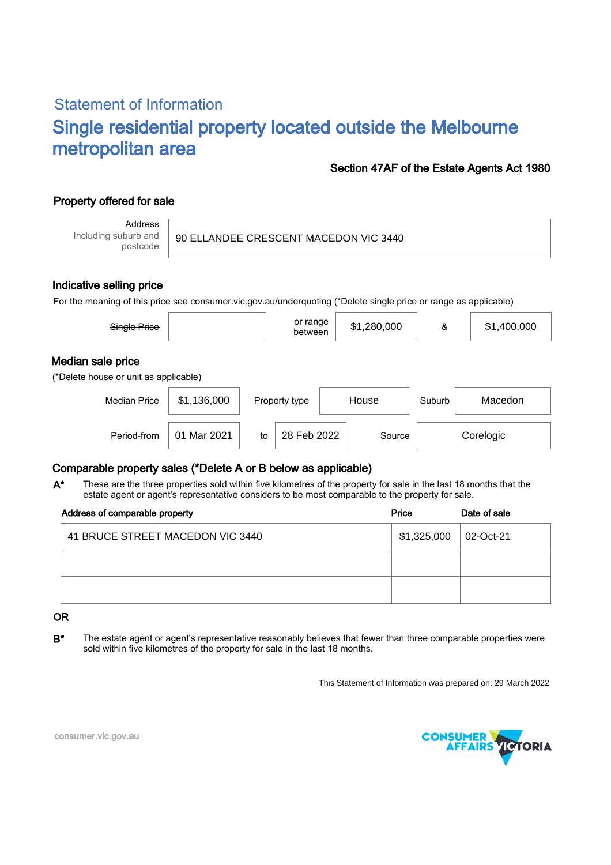# Statement of Information Single residential property located outside the Melbourne metropolitan area

### Section 47AF of the Estate Agents Act 1980

# Property offered for sale

Address Including suburb and postcode

#### 90 ELLANDEE CRESCENT MACEDON VIC 3440

#### Indicative selling price

For the meaning of this price see consumer.vic.gov.au/underquoting (\*Delete single price or range as applicable)

| Single Price                                               |             |    | or range<br>between |       | \$1,280,000 | &      | \$1,400,000 |  |  |
|------------------------------------------------------------|-------------|----|---------------------|-------|-------------|--------|-------------|--|--|
| Median sale price<br>(*Delete house or unit as applicable) |             |    |                     |       |             |        |             |  |  |
| <b>Median Price</b>                                        | \$1,136,000 |    | Property type       | House |             | Suburb | Macedon     |  |  |
| Period-from                                                | 01 Mar 2021 | to | 28 Feb 2022         |       | Source      |        | Corelogic   |  |  |

## Comparable property sales (\*Delete A or B below as applicable)

These are the three properties sold within five kilometres of the property for sale in the last 18 months that the estate agent or agent's representative considers to be most comparable to the property for sale. A\*

| Address of comparable property   | Price       | Date of sale |
|----------------------------------|-------------|--------------|
| 41 BRUCE STREET MACEDON VIC 3440 | \$1,325,000 | 02-Oct-21    |
|                                  |             |              |
|                                  |             |              |

#### OR

B<sup>\*</sup> The estate agent or agent's representative reasonably believes that fewer than three comparable properties were sold within five kilometres of the property for sale in the last 18 months.

This Statement of Information was prepared on: 29 March 2022



consumer.vic.gov.au